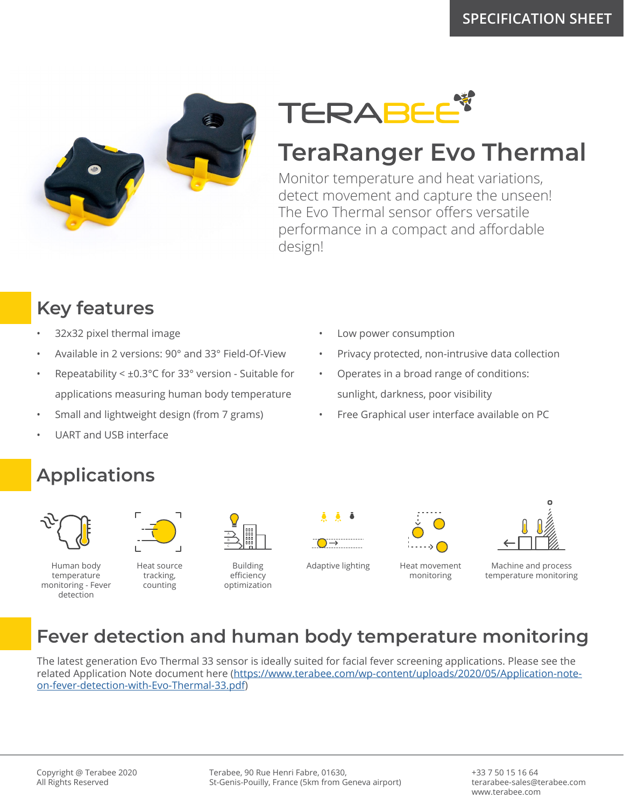



## **TeraRanger Evo Thermal**

Monitor temperature and heat variations, detect movement and capture the unseen! The Evo Thermal sensor offers versatile performance in a compact and affordable design!

Low power consumption

### **Key features**

- 32x32 pixel thermal image
- Available in 2 versions: 90° and 33° Field-Of-View
- Repeatability < ±0.3°C for 33° version Suitable for applications measuring human body temperature
- Small and lightweight design (from 7 grams)
- UART and USB interface

# **Applications**



Human body temperature monitoring - Fever detection



Heat source tracking, counting



Building efficiency optimization





• Privacy protected, non-intrusive data collection

• Free Graphical user interface available on PC

• Operates in a broad range of conditions:

sunlight, darkness, poor visibility

Adaptive lighting Heat movement monitoring



Machine and process temperature monitoring

#### **Fever detection and human body temperature monitoring**

The latest generation Evo Thermal 33 sensor is ideally suited for facial fever screening applications. Please see the related Application Note document here (https://www.terabee.com/wp-content/uploads/2020/05/Application-noteon-fever-detection-with-Evo-Thermal-33.pdf)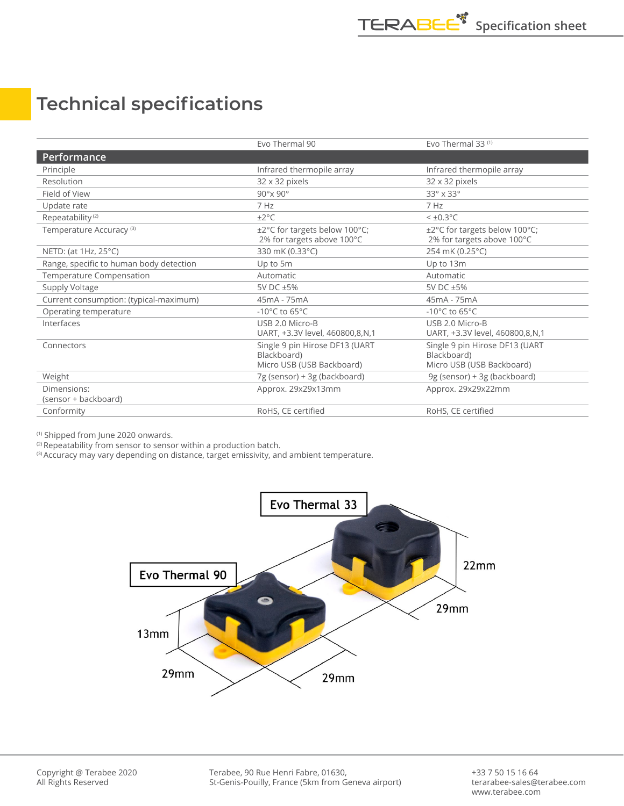#### **Technical specifications**

|                                         | Evo Thermal 90                                                             | Evo Thermal 33 <sup>(1)</sup>                                              |
|-----------------------------------------|----------------------------------------------------------------------------|----------------------------------------------------------------------------|
| Performance                             |                                                                            |                                                                            |
| Principle                               | Infrared thermopile array                                                  | Infrared thermopile array                                                  |
| Resolution                              | 32 x 32 pixels                                                             | 32 x 32 pixels                                                             |
| Field of View                           | $90^\circ$ x $90^\circ$                                                    | $33^\circ \times 33^\circ$                                                 |
| Update rate                             | 7 Hz                                                                       | 7 Hz                                                                       |
| Repeatability <sup>(2)</sup>            | $\pm 2^{\circ}$ C                                                          | $<\pm 0.3$ °C                                                              |
| Temperature Accuracy <sup>(3)</sup>     | ±2°C for targets below 100°C;<br>2% for targets above 100°C                | ±2°C for targets below 100°C;<br>2% for targets above 100°C                |
| NETD: (at 1Hz, 25°C)                    | 330 mK (0.33°C)                                                            | 254 mK (0.25°C)                                                            |
| Range, specific to human body detection | Up to 5m                                                                   | Up to 13m                                                                  |
| Temperature Compensation                | Automatic                                                                  | Automatic                                                                  |
| Supply Voltage                          | 5V DC ±5%                                                                  | 5V DC ±5%                                                                  |
| Current consumption: (typical-maximum)  | 45mA - 75mA                                                                | 45mA - 75mA                                                                |
| Operating temperature                   | -10 $^{\circ}$ C to 65 $^{\circ}$ C                                        | -10 $^{\circ}$ C to 65 $^{\circ}$ C                                        |
| Interfaces                              | USB 2.0 Micro-B<br>UART, +3.3V level, 460800,8,N,1                         | USB 2.0 Micro-B<br>UART, +3.3V level, 460800,8,N,1                         |
| Connectors                              | Single 9 pin Hirose DF13 (UART<br>Blackboard)<br>Micro USB (USB Backboard) | Single 9 pin Hirose DF13 (UART<br>Blackboard)<br>Micro USB (USB Backboard) |
| Weight                                  | 7g (sensor) + 3g (backboard)                                               | 9g (sensor) + 3g (backboard)                                               |
| Dimensions:<br>(sensor + backboard)     | Approx. 29x29x13mm                                                         | Approx. 29x29x22mm                                                         |
| Conformity                              | RoHS, CE certified                                                         | RoHS, CE certified                                                         |

(1) Shipped from June 2020 onwards.

(2) Repeatability from sensor to sensor within a production batch.

<sup>(3)</sup> Accuracy may vary depending on distance, target emissivity, and ambient temperature.